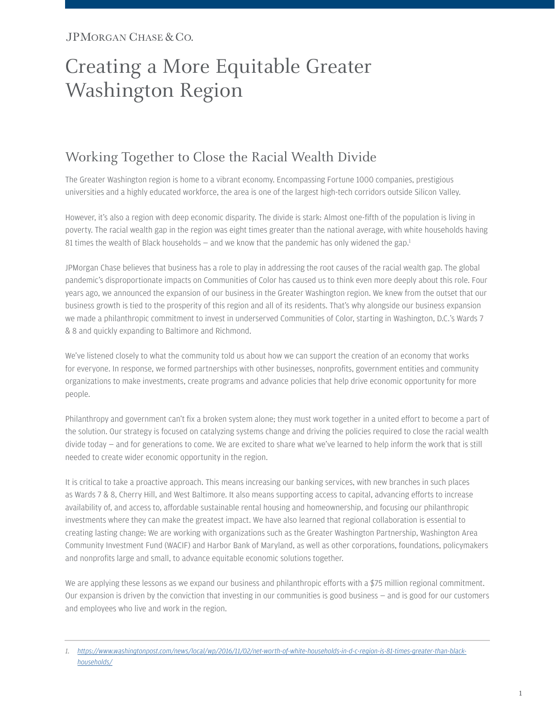# Creating a More Equitable Greater Washington Region

### Working Together to Close the Racial Wealth Divide

The Greater Washington region is home to a vibrant economy. Encompassing Fortune 1000 companies, prestigious universities and a highly educated workforce, the area is one of the largest high-tech corridors outside Silicon Valley.

However, it's also a region with deep economic disparity. The divide is stark: Almost one-fifth of the population is living in poverty. The racial wealth gap in the region was eight times greater than the national average, with white households having 81 times the wealth of Black households  $-$  and we know that the pandemic has only widened the gap.<sup>1</sup>

JPMorgan Chase believes that business has a role to play in addressing the root causes of the racial wealth gap. The global pandemic's disproportionate impacts on Communities of Color has caused us to think even more deeply about this role. Four years ago, we announced the expansion of our business in the Greater Washington region. We knew from the outset that our business growth is tied to the prosperity of this region and all of its residents. That's why alongside our business expansion we made a philanthropic commitment to invest in underserved Communities of Color, starting in Washington, D.C.'s Wards 7 & 8 and quickly expanding to Baltimore and Richmond.

We've listened closely to what the community told us about how we can support the creation of an economy that works for everyone. In response, we formed partnerships with other businesses, nonprofits, government entities and community organizations to make investments, create programs and advance policies that help drive economic opportunity for more people.

Philanthropy and government can't fix a broken system alone; they must work together in a united effort to become a part of the solution. Our strategy is focused on catalyzing systems change and driving the policies required to close the racial wealth divide today — and for generations to come. We are excited to share what we've learned to help inform the work that is still needed to create wider economic opportunity in the region.

It is critical to take a proactive approach. This means increasing our banking services, with new branches in such places as Wards 7 & 8, Cherry Hill, and West Baltimore. It also means supporting access to capital, advancing efforts to increase availability of, and access to, affordable sustainable rental housing and homeownership, and focusing our philanthropic investments where they can make the greatest impact. We have also learned that regional collaboration is essential to creating lasting change: We are working with organizations such as the Greater Washington Partnership, Washington Area Community Investment Fund (WACIF) and Harbor Bank of Maryland, as well as other corporations, foundations, policymakers and nonprofits large and small, to advance equitable economic solutions together.

We are applying these lessons as we expand our business and philanthropic efforts with a \$75 million regional commitment. Our expansion is driven by the conviction that investing in our communities is good business — and is good for our customers and employees who live and work in the region.

<span id="page-0-0"></span>*<sup>1.</sup> [https://www.washingtonpost.com/news/local/wp/2016/11/02/net-worth-of-white-households-in-d-c-region-is-81-times-greater-than-black](https://www.washingtonpost.com/news/local/wp/2016/11/02/net-worth-of-white-households-in-d-c-region-is-81-times-greater-than-black-households/)households/*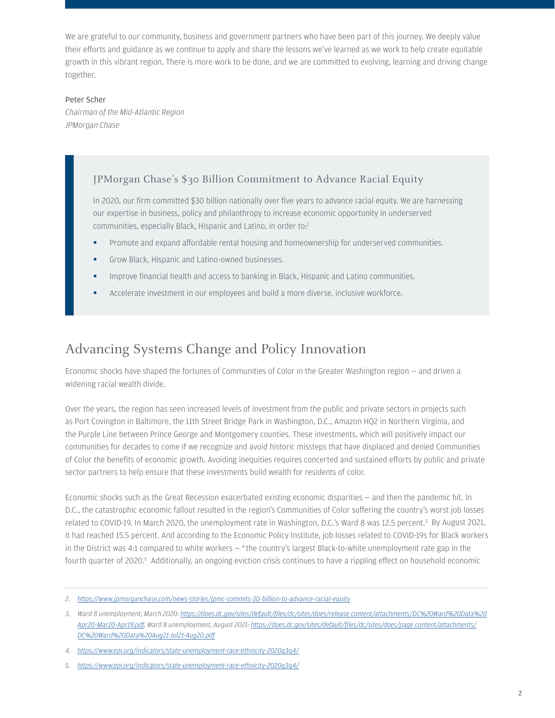We are grateful to our community, business and government partners who have been part of this journey. We deeply value their efforts and guidance as we continue to apply and share the lessons we've learned as we work to help create equitable growth in this vibrant region. There is more work to be done, and we are committed to evolving, learning and driving change together.

#### Peter Scher

*Chairman of the Mid-Atlantic Region JPMorgan Chase*

#### JPMorgan Chase's \$30 Billion Commitment to Advance Racial Equity

In 2020, our firm committed \$30 billion nationally over five years to advance racial equity. We are harnessing our expertise in business, policy and philanthropy to increase economic opportunity in underserved communities, especially Black, Hispanic and Latino, in order to:[2](#page-1-0)

- Promote and expand affordable rental housing and homeownership for underserved communities.
- Grow Black, Hispanic and Latino-owned businesses.
- Improve financial health and access to banking in Black, Hispanic and Latino communities.
- Accelerate investment in our employees and build a more diverse, inclusive workforce.

### Advancing Systems Change and Policy Innovation

Economic shocks have shaped the fortunes of Communities of Color in the Greater Washington region — and driven a widening racial wealth divide.

Over the years, the region has seen increased levels of investment from the public and private sectors in projects such as Port Covington in Baltimore, the 11th Street Bridge Park in Washington, D.C., Amazon HQ2 in Northern Virginia, and the Purple Line between Prince George and Montgomery counties. These investments, which will positively impact our communities for decades to come if we recognize and avoid historic missteps that have displaced and denied Communities of Color the benefits of economic growth. Avoiding inequities requires concerted and sustained efforts by public and private sector partners to help ensure that these investments build wealth for residents of color.

Economic shocks such as the Great Recession exacerbated existing economic disparities — and then the pandemic hit. In D.C., the catastrophic economic fallout resulted in the region's Communities of Color suffering the country's worst job losses related to COVID-19. In March 2020, the unemployment rate in Washington, D.C.'s Ward 8 was 12.5 percent.<sup>3</sup> By August 2021, it had reached 15.5 percent. And according to the Economic Policy Institute, job losses related to COVID-19s for Black workers in the District was [4](#page-1-2):1 compared to white workers  $-$  <sup>4</sup> the country's largest Black-to-white unemployment rate gap in the fourth quarter of 2020.<sup>5</sup> Additionally, an ongoing eviction crisis continues to have a rippling effect on household economic

<span id="page-1-0"></span>*<sup>2.</sup> <https://www.jpmorganchase.com/news-stories/jpmc-commits-30-billion-to-advance-racial-equity>*

<span id="page-1-1"></span>*<sup>3.</sup> [Ward 8 unemployment, March 2020: https://does.dc.gov/sites/default/files/dc/sites/does/release\\_content/attachments/DC%20Ward%20Data%20](https://does.dc.gov/sites/default/files/dc/sites/does/release_content/attachments/DC%20Ward%20Data%20Apr20-Mar20-Apr19.pdf) [Apr20-Mar20-Apr19.pdf, Ward 8 unemployment, August 2021: https://does.dc.gov/sites/default/files/dc/sites/does/page\\_content/attachments/](https://does.dc.gov/sites/default/files/dc/sites/does/page_content/attachments/DC%20Ward%20Data%20Aug21-Jul21-Aug20.pdf) DC%20Ward%20Data%20Aug21-Jul21-Aug20.pdf*

<span id="page-1-2"></span>*<sup>4.</sup> <https://www.epi.org/indicators/state-unemployment-race-ethnicity-2020q3q4/>*

<span id="page-1-3"></span>*<sup>5.</sup> <https://www.epi.org/indicators/state-unemployment-race-ethnicity-2020q3q4/>*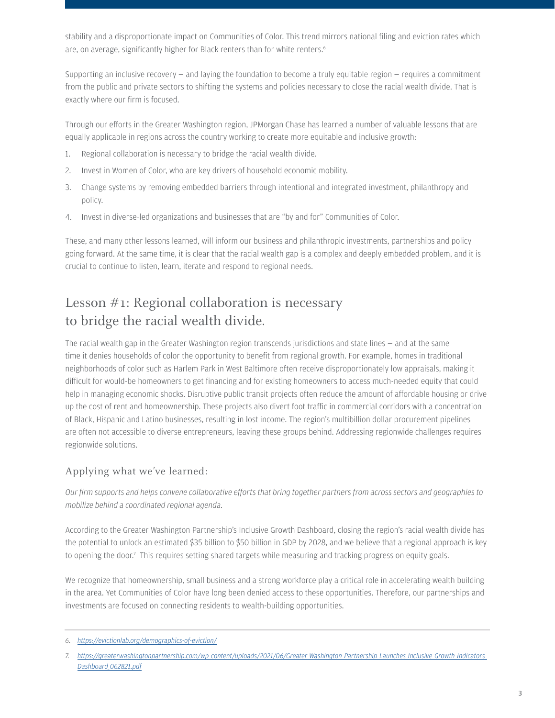stability and a disproportionate impact on Communities of Color. This trend mirrors national filing and eviction rates which are, on average, significantly higher for Black renters than for white renters.<sup>[6](#page-2-0)</sup>

Supporting an inclusive recovery  $-$  and laying the foundation to become a truly equitable region  $-$  requires a commitment from the public and private sectors to shifting the systems and policies necessary to close the racial wealth divide. That is exactly where our firm is focused.

Through our efforts in the Greater Washington region, JPMorgan Chase has learned a number of valuable lessons that are equally applicable in regions across the country working to create more equitable and inclusive growth:

- 1. Regional collaboration is necessary to bridge the racial wealth divide.
- 2. Invest in Women of Color, who are key drivers of household economic mobility.
- 3. Change systems by removing embedded barriers through intentional and integrated investment, philanthropy and policy.
- 4. Invest in diverse-led organizations and businesses that are "by and for" Communities of Color.

These, and many other lessons learned, will inform our business and philanthropic investments, partnerships and policy going forward. At the same time, it is clear that the racial wealth gap is a complex and deeply embedded problem, and it is crucial to continue to listen, learn, iterate and respond to regional needs.

# Lesson #1: Regional collaboration is necessary to bridge the racial wealth divide.

The racial wealth gap in the Greater Washington region transcends jurisdictions and state lines — and at the same time it denies households of color the opportunity to benefit from regional growth. For example, homes in traditional neighborhoods of color such as Harlem Park in West Baltimore often receive disproportionately low appraisals, making it difficult for would-be homeowners to get financing and for existing homeowners to access much-needed equity that could help in managing economic shocks. Disruptive public transit projects often reduce the amount of affordable housing or drive up the cost of rent and homeownership. These projects also divert foot traffic in commercial corridors with a concentration of Black, Hispanic and Latino businesses, resulting in lost income. The region's multibillion dollar procurement pipelines are often not accessible to diverse entrepreneurs, leaving these groups behind. Addressing regionwide challenges requires regionwide solutions.

#### Applying what we've learned:

*Our firm supports and helps convene collaborative efforts that bring together partners from across sectors and geographies to mobilize behind a coordinated regional agenda.* 

According to the Greater Washington Partnership's Inclusive Growth Dashboard, closing the region's racial wealth divide has the potential to unlock an estimated \$35 billion to \$50 billion in GDP by 2028, and we believe that a regional approach is key to opening the door.<sup>7</sup> This requires setting shared targets while measuring and tracking progress on equity goals.

We recognize that homeownership, small business and a strong workforce play a critical role in accelerating wealth building in the area. Yet Communities of Color have long been denied access to these opportunities. Therefore, our partnerships and investments are focused on connecting residents to wealth-building opportunities.

<span id="page-2-0"></span>*<sup>6.</sup> <https://evictionlab.org/demographics-of-eviction/>*

<span id="page-2-1"></span>*<sup>7.</sup> [https://greaterwashingtonpartnership.com/wp-content/uploads/2021/06/Greater-Washington-Partnership-Launches-Inclusive-Growth-Indicators-](https://greaterwashingtonpartnership.com/wp-content/uploads/2021/06/Greater-Washington-Partnership-Launches-Inclusive-Growth-Indicators-Dashboard_062821.pdf)Dashboard\_062821.pdf*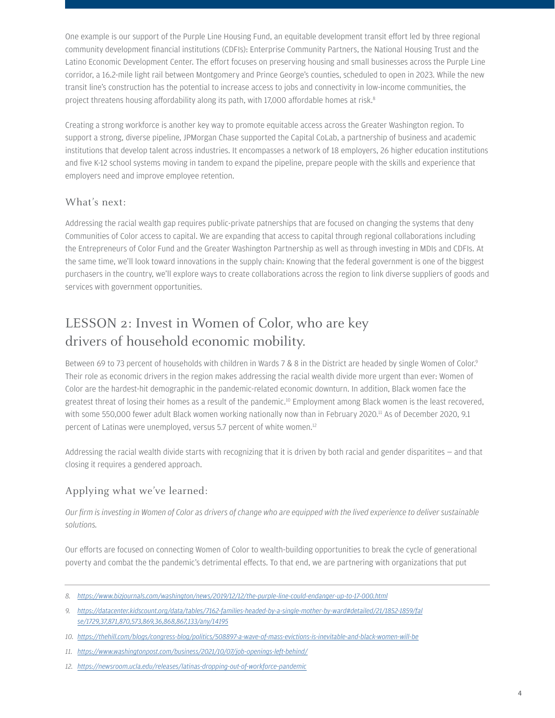One example is our support of the Purple Line Housing Fund, an equitable development transit effort led by three regional community development financial institutions (CDFIs): Enterprise Community Partners, the National Housing Trust and the Latino Economic Development Center. The effort focuses on preserving housing and small businesses across the Purple Line corridor, a 16.2-mile light rail between Montgomery and Prince George's counties, scheduled to open in 2023. While the new transit line's construction has the potential to increase access to jobs and connectivity in low-income communities, the project threatens housing affordability along its path, with 17,000 affordable homes at risk.<sup>8</sup>

Creating a strong workforce is another key way to promote equitable access across the Greater Washington region. To support a strong, diverse pipeline, JPMorgan Chase supported the Capital CoLab, a partnership of business and academic institutions that develop talent across industries. It encompasses a network of 18 employers, 26 higher education institutions and five K-12 school systems moving in tandem to expand the pipeline, prepare people with the skills and experience that employers need and improve employee retention.

#### What's next:

Addressing the racial wealth gap requires public-private patnerships that are focused on changing the systems that deny Communities of Color access to capital. We are expanding that access to capital through regional collaborations including the Entrepreneurs of Color Fund and the Greater Washington Partnership as well as through investing in MDIs and CDFIs. At the same time, we'll look toward innovations in the supply chain: Knowing that the federal government is one of the biggest purchasers in the country, we'll explore ways to create collaborations across the region to link diverse suppliers of goods and services with government opportunities.

### LESSON 2: Invest in Women of Color, who are key drivers of household economic mobility.

Between 69 to 73 percent of households with children in Wards 7 & 8 in the District are headed by single Women of Color[.9](#page--1-1) Their role as economic drivers in the region makes addressing the racial wealth divide more urgent than ever: Women of Color are the hardest-hit demographic in the pandemic-related economic downturn. In addition, Black women face the greatest threat of losing their homes as a result of the pandemic.<sup>10</sup> Employment among Black women is the least recovered, with some 550,000 fewer adult Black women working nationally now than in February 2020.<sup>11</sup> As of December 2020, 9.1 percent of Latinas were unemployed, versus 5.7 percent of white women.[12](#page--1-4)

Addressing the racial wealth divide starts with recognizing that it is driven by both racial and gender disparitites — and that closing it requires a gendered approach.

#### Applying what we've learned:

*Our firm is investing in Women of Color as drivers of change who are equipped with the lived experience to deliver sustainable solutions.* 

Our efforts are focused on connecting Women of Color to wealth-building opportunities to break the cycle of generational poverty and combat the the pandemic's detrimental effects. To that end, we are partnering with organizations that put

*<sup>8.</sup> <https://www.bizjournals.com/washington/news/2019/12/12/the-purple-line-could-endanger-up-to-17-000.html>*

*<sup>9.</sup> [https://datacenter.kidscount.org/data/tables/7162-families-headed-by-a-single-mother-by-ward#detailed/21/1852-1859/fal](https://datacenter.kidscount.org/data/tables/7162-families-headed-by-a-single-mother-by-ward#detailed/21/1852-1859/false/1729,37,871,870,573,869,36,868,867,133/any/14195) se/1729,37,871,870,573,869,36,868,867,133/any/14195*

*<sup>10.</sup> <https://thehill.com/blogs/congress-blog/politics/508897-a-wave-of-mass-evictions-is-inevitable-and-black-women-will-be>*

*<sup>11.</sup> <https://www.washingtonpost.com/business/2021/10/07/job-openings-left-behind/>*

*<sup>12.</sup> [https://newsroom.ucla.edu/releases/latinas-dropping-out-of-workforce-pandemic](https://newsroom.ucla.edu/releases/latinas-dropping-out-of-workforce-pandemic )*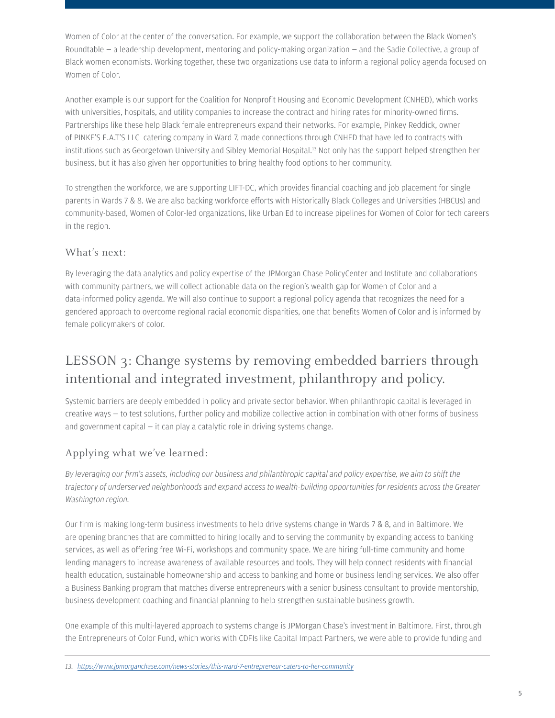Women of Color at the center of the conversation. For example, we support the collaboration between the Black Women's Roundtable — a leadership development, mentoring and policy-making organization — and the Sadie Collective, a group of Black women economists. Working together, these two organizations use data to inform a regional policy agenda focused on Women of Color.

Another example is our support for the Coalition for Nonprofit Housing and Economic Development (CNHED), which works with universities, hospitals, and utility companies to increase the contract and hiring rates for minority-owned firms. Partnerships like these help Black female entrepreneurs expand their networks. For example, Pinkey Reddick, owner of PINKE'S E.A.T'S LLC catering company in Ward 7, made connections through CNHED that have led to contracts with institutions such as Georgetown University and Sibley Memorial Hospital.<sup>13</sup> Not only has the support helped strengthen her business, but it has also given her opportunities to bring healthy food options to her community.

To strengthen the workforce, we are supporting LIFT-DC, which provides financial coaching and job placement for single parents in Wards 7 & 8. We are also backing workforce efforts with Historically Black Colleges and Universities (HBCUs) and community-based, Women of Color-led organizations, like Urban Ed to increase pipelines for Women of Color for tech careers in the region.

#### What's next:

By leveraging the data analytics and policy expertise of the JPMorgan Chase PolicyCenter and Institute and collaborations with community partners, we will collect actionable data on the region's wealth gap for Women of Color and a data-informed policy agenda. We will also continue to support a regional policy agenda that recognizes the need for a gendered approach to overcome regional racial economic disparities, one that benefits Women of Color and is informed by female policymakers of color.

# LESSON 3: Change systems by removing embedded barriers through intentional and integrated investment, philanthropy and policy.

Systemic barriers are deeply embedded in policy and private sector behavior. When philanthropic capital is leveraged in creative ways — to test solutions, further policy and mobilize collective action in combination with other forms of business and government capital — it can play a catalytic role in driving systems change.

#### Applying what we've learned:

*By leveraging our firm's assets, including our business and philanthropic capital and policy expertise, we aim to shift the trajectory of underserved neighborhoods and expand access to wealth-building opportunities for residents across the Greater Washington region.* 

Our firm is making long-term business investments to help drive systems change in Wards 7 & 8, and in Baltimore. We are opening branches that are committed to hiring locally and to serving the community by expanding access to banking services, as well as offering free Wi-Fi, workshops and community space. We are hiring full-time community and home lending managers to increase awareness of available resources and tools. They will help connect residents with financial health education, sustainable homeownership and access to banking and home or business lending services. We also offer a Business Banking program that matches diverse entrepreneurs with a senior business consultant to provide mentorship, business development coaching and financial planning to help strengthen sustainable business growth.

One example of this multi-layered approach to systems change is JPMorgan Chase's investment in Baltimore. First, through the Entrepreneurs of Color Fund, which works with CDFIs like Capital Impact Partners, we were able to provide funding and

<span id="page-4-0"></span>*13. <https://www.jpmorganchase.com/news-stories/this-ward-7-entrepreneur-caters-to-her-community>*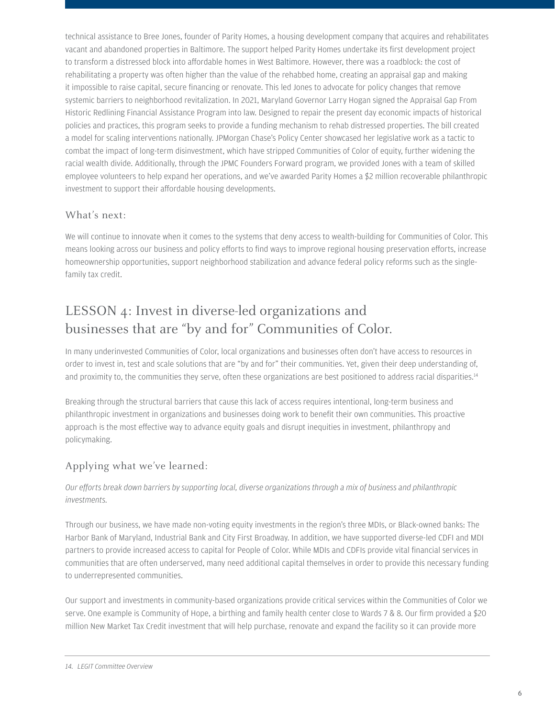technical assistance to Bree Jones, founder of Parity Homes, a housing development company that acquires and rehabilitates vacant and abandoned properties in Baltimore. The support helped Parity Homes undertake its first development project to transform a distressed block into affordable homes in West Baltimore. However, there was a roadblock: the cost of rehabilitating a property was often higher than the value of the rehabbed home, creating an appraisal gap and making it impossible to raise capital, secure financing or renovate. This led Jones to advocate for policy changes that remove systemic barriers to neighborhood revitalization. In 2021, Maryland Governor Larry Hogan signed the Appraisal Gap From Historic Redlining Financial Assistance Program into law. Designed to repair the present day economic impacts of historical policies and practices, this program seeks to provide a funding mechanism to rehab distressed properties. The bill created a model for scaling interventions nationally. JPMorgan Chase's Policy Center showcased her legislative work as a tactic to combat the impact of long-term disinvestment, which have stripped Communities of Color of equity, further widening the racial wealth divide. Additionally, through the JPMC Founders Forward program, we provided Jones with a team of skilled employee volunteers to help expand her operations, and we've awarded Parity Homes a \$2 million recoverable philanthropic investment to support their affordable housing developments.

#### What's next:

We will continue to innovate when it comes to the systems that deny access to wealth-building for Communities of Color. This means looking across our business and policy efforts to find ways to improve regional housing preservation efforts, increase homeownership opportunities, support neighborhood stabilization and advance federal policy reforms such as the singlefamily tax credit.

# LESSON 4: Invest in diverse-led organizations and businesses that are "by and for" Communities of Color.

In many underinvested Communities of Color, local organizations and businesses often don't have access to resources in order to invest in, test and scale solutions that are "by and for" their communities. Yet, given their deep understanding of, and proximity to, the communities they serve, often these organizations are best positioned to address racial disparities.<sup>[14](#page-5-0)</sup>

Breaking through the structural barriers that cause this lack of access requires intentional, long-term business and philanthropic investment in organizations and businesses doing work to benefit their own communities. This proactive approach is the most effective way to advance equity goals and disrupt inequities in investment, philanthropy and policymaking.

#### Applying what we've learned:

#### *Our efforts break down barriers by supporting local, diverse organizations through a mix of business and philanthropic investments.*

Through our business, we have made non-voting equity investments in the region's three MDIs, or Black-owned banks: The Harbor Bank of Maryland, Industrial Bank and City First Broadway. In addition, we have supported diverse-led CDFI and MDI partners to provide increased access to capital for People of Color. While MDIs and CDFIs provide vital financial services in communities that are often underserved, many need additional capital themselves in order to provide this necessary funding to underrepresented communities.

<span id="page-5-0"></span>Our support and investments in community-based organizations provide critical services within the Communities of Color we serve. One example is Community of Hope, a birthing and family health center close to Wards 7 & 8. Our firm provided a \$20 million New Market Tax Credit investment that will help purchase, renovate and expand the facility so it can provide more